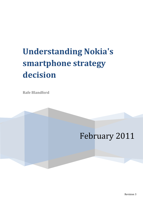### **Understanding Nokia's smartphone strategy decision**

**Rafe Blandford**

### February 2011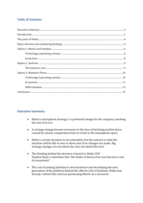#### **Table of Contents**

#### <span id="page-1-0"></span>**Executive Summary**

- Nokia's smartphone strategy is a profound change for the company, marking the end of an era.
- A strategy change became necessary in the face of declining market share, caused by intense competition from its rivals in the smartphone space.
- Nokia's current situation is not untenable, but the concern is what the situation will be like in two or three year if no changes are made. Big strategy changes are not about the now, but about the next.
- The thinking behind the decision is based on Nokia CEO Stephen Elop's contention that "the battle of devices has now become a war of ecosystems".
- The cost of porting Symbian to new hardware and developing the next generation of the platform limited the effective life of Symbian. Nokia had already realised this and was positioning MeeGo as a successor.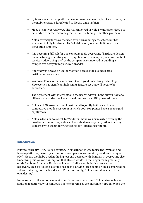- Qt is an elegant cross platform development framework, but its existence, in the mobile space, is largely tied to MeeGo and Symbian.
- MeeGo is not yet ready yet. The risks involved in Nokia waiting for MeeGo to be ready are perceived to be greater than switching to another platform.
- Nokia correctly foresaw the need for a surrounding ecosystem, but has struggled to fully implement its Ovi vision and, as a result, it now has a perception problem.
- It is becoming difficult for one company to do everything (hardware design, manufacturing, operating system, applications, developers, location, content services, advertising, etc.) as the competencies involved in building a competitive ecosystem grow ever broader.
- Android was always an unlikely option because the business case justification was weak.
- Windows Phone offers a modern UX with good underlying technology. However it has significant holes in its feature set that will need to be addressed.
- The agreement with Microsoft and the use Windows Phone allows Nokia to differentiate its devices from its main Android and iOS powered rivals.
- Nokia and Microsoft are well positioned to jointly build a viable and competitive mobile ecosystem in which both companies have a near-equal equity stake.
- Nokia's decision to switch to Windows Phone was primarily driven by the need for a competitive, viable and sustainable ecosystem, rather than any concerns with the underlying technology (operating system).

#### <span id="page-2-0"></span>**Introduction**

Prior to February 11th, Nokia's strategy in smartphones was to use the Symbian and MeeGo platforms, linked by a common developer environment (Qt) and service layer (Ovi). MeeGo would be used in the highest end devices, with Symbian in everything else. Underlying this was an assumption that MeeGo would, in the longer term, gradually erode Symbian. Crucially, Nokia would control all areas - in both software and hardware. This 'go it alone' attitude has been a driving force behind Nokia's smartphone software strategy for the last decade. Put more simply, Nokia wanted to 'control its own destiny'.

In the run up to the announcement, speculation centred around Nokia introducing an additional platform, with Windows Phone emerging as the most likely option. When the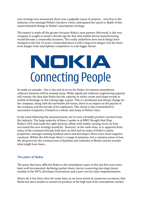new strategy was announced, there was a palpable sense of surprise - very few in the industry, even amongst Nokia's harshest critics, anticipated the speed or depth of this unprecedented change in Nokia's smartphone strategy.

The impact is made all the greater because Nokia's new partner, Microsoft, is the very company it sought to avoid a decade ago for fear that mobile device manufacturing would become a commodity business. This really underlines how much things have changed in the last 15 years. Commoditisation is still a long term danger, but the short term danger from smartphone competitors is a far bigger threat.

## NOKIA **Connecting People**

So make no mistake - this is the end of an era for Nokia. Its totemic smartphone software business will be washed away. While significant software engineering capacity will remain, the idea that Nokia has the capacity to solely create and shape trends in mobile technology on the cutting edge is gone. This is a profound and abrupt change for the company; along with the inevitable job losses, there is an impact on the psyche of the company and the morale of its employees. This shock is also transmitted to associated companies, Finland as a whole, and many of Nokia's fans.

In the week following the announcement, we've seen a broadly positive reaction from the industry. The large majority of those I spoke to at MWC thought that Elop, Nokia's CEO, had made the right decision, albeit with widely varying views on how successful the new strategy would be. However, at the same time, as is apparent from many of the comment threads both here on AAS and on many of Nokia's online properties, amongst existing Symbian users and developers there were more negative reactions. Within the AAS team there's a range of opinions, but a common sense of loss. We all grieve for the eventual loss of Symbian and cutbacks to MeeGo and do wonder what might have been...

#### <span id="page-3-0"></span>**The pains of Nokia**

The pains that have afflicted Nokia in the smartphone space in the last few years have been well documented: declining market share, device resourcing mis-steps (most notably in the N97), developer frustrations and a poor service layer implementation.

Above all, it has been clear for some time, as we have noted on numerous occasions, that Nokia has been unable to sustain its position at the high end of the smartphone market.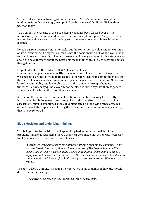This is best seen when drawing a comparison with Nokia's dominant smartphone market position five years ago, exemplified by the release of the Nokia N95, with its position today.

To an extent, the severity of the issue facing Nokia has been glossed over by the impressive growth into the mid tier and low end smartphone space. The growth here means that Nokia has remained the biggest manufacturer of smartphones by some distance.

Nokia's current position is not untenable, but the contention is Nokia can not continue on its current path. The biggest concern is not the position now, but what it would be in two or three years time if no changes were made. Strategy changes of this nature are not about the now, they are about the next. This means things are likely to get worse before they get better.

Elop bluntly stated the problems that Nokia face in his now famous 'burning platform' memo. His concluded that Nokia has failed to keep pace with market disruptions from its rivals and is therefore lacking in competitiveness, that the battle of devices has been superseded by a battle of ecosystems and that Nokia has lacked accountability and leadership to drive the company through changing times. While some may quibble over minor points, it is fair to say that there is general acceptance of the broad thrust of Elop's arguments.

A common theme in recent assessments of Nokia is that bureaucracy has directly impacted on its ability to execute strategy. This seductive siren call is not an unfair assessment, but it is sometimes a too convenient catch-all for a wide range of issues. Going forward, the importance of fixing the execution issue is common to any strategy that is to be followed.

#### <span id="page-4-0"></span>**Elop's decision and underlying thinking**

This brings us to the decision that Stephen Elop had to make. In the light of the problems that Nokia was facing there was a clear consensus that action was necessary. In Elop's own words, there were three choices:

*"Clearly, we were assessing three different paths forward for the company. There was the largely internal option, taking advantage of MeeGo and Symbian. The second option, clearly, was to make a decision to pursue Android and to place a significant bet on the Android ecosystem. The third choice we had was to enter into a partnership with Microsoft to build jointly an ecosystem around Windows Phone."*

The key to Elop's thinking in making the choice lies in his thoughts on how the mobile device market has changed:

*"The battle of devices has now become a war of ecosystems."*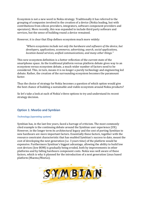Ecosystem is not a new word in Nokia strategy. Traditionally it has referred to the grouping of companies involved in the creation of a device (Nokia leading, but with contributions from silicon providers, integrators, software component providers and operators). More recently, this was expanded to include third party software and services, but the sense of building round a device remained.

However, it is clear that Elop defines ecosystem much more widely:

*"Where ecosystems include not only the hardware and software of the device, but developers, applications, ecommerce, advertising, search, social applications, location-based services, unified communications, and many other things."*

This new ecosystem definition is a better reflection of the current state of the smartphone space. As the traditional platform versus platform debate gives way to an ecosystem versus ecosystem debate, a much wider number of factors need to be considered. This, in turn, means it is no longer a purely technology and engineering led debate. Rather, the creation of the surrounding ecosystem becomes the paramount factor.

Thus the choice of strategy for Nokia becomes a question of which option would give the best chance of building a sustainable and viable ecosystem around Nokia products?

So let's take a look at each of Nokia's three options to try and understand its recent strategy decision.

#### <span id="page-5-0"></span>**Option 1: MeeGo and Symbian**

#### <span id="page-5-1"></span>*Technology (operating system)*

Symbian has, in the last few years, faced a barrage of criticism. The most commonly cited example is the continuing debate around the Symbian user experience (UX). However, in the longer term its architectural legacy and the cost of porting Symbian to new hardware are more important factors. Essentially these factors, together with the resource constraint characteristic that has enabled Symbian's success to date, meant the cost of developing the next generation (i.e. 3 years time) of the platform would be expensive. Furthermore Symbian's biggest advantage, allowing the ability to build low cost devices (low BOM) is gradually being eroded, both by improvements in other platforms and by falling hardware component costs. Nokia was well aware of these factors, which is why it planned for the introduction of a next generation Linux based platform (Maemo/MeeGo).

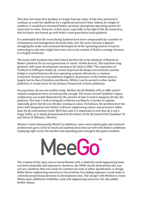This does not mean that Symbian no longer had any value. It had clear potential to continue as a mid tier platform for a significant period of time. Indeed, by weight of numbers, it would have remained Nokia's primary smartphone operating system for some time to come. However, it does mean, especially in the light of the Qt connection, that its future was bound up with Nokia's next generation Linux platform.

It's undeniable that the issues facing Symbian have been compounded by a number of evolutionary and management decisions that, over the years, became a ligature strangling the wider and continued development of the operating system. It may be interesting to ask what might have been, but in the context of Nokia's strategy decision, it is largely irrelevant.

The issues with Symbian described above led directly to the adoption of Maemo as Nokia's platform for its next generation of 'smart' mobile devices. This had been long planned, with Linux development starting as far back as 2002. The acquisition of Trolltech in 2008 gave Nokia Qt, a much improved developer environment, and the bridge it created between the two operating systems allowed for a common ecosystem. Despite its cross platform elegance, Qt presence in the mobile space is largely tied to that of Symbian and MeeGo. While it can be ported to other mobile platforms, it would never be the primary framework of those platforms.

At acquisition, Qt was not mobile-ready. Neither the Qt Mobility APIs or QML and its related components have arrived quickly enough. The issues around Symbian's legacy architecture are neatly illustrated by the amount of time it took to integrate Qt into the platform. The time it took to bring Qt to Maemo and MeeGo is harder to explain, especially given that Qt was already running on Linux. On balance, the problem here lies more with integration into Nokia's software engineering culture and processes rather than the Qt environment itself. With that said, it is important to note that Qt is not a magic bullet, as is amply demonstrated by the failure of the Qt-based Orbit (Symbian^4) and Direct UI (Maemo / MeeGo).

Maemo's (and subsequently MeeGo's) ambitions, open source philosophy and technical architecture gave a level of reach and sophistication that sat well with Nokia's ambitions of playing right across the market and expanding into emergent disruptive markets.

**MeeGo** 

**TM** 

The creation of the open source-based Maemo with a relatively small engineering team was both admirable and impressive. However, the N900 clearly showed that this was not yet a platform that was ready for commercial scale in either specification or design. Nokia threw engineering resources at the problem, but adding engineers rarely leads to a directly proportional decrease in development time. The merger with Moblin to create MeeGo gave additional credibility, scale and engineering resources, but also added further delays.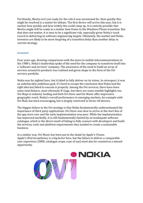Put bluntly, MeeGo isn't yet ready for the role it was envisioned for. How quickly this might be resolved is a matter for debate. The first device will arrive this year, but it is unclear how quickly and how widely this could ramp up. It is entirely possible that MeeGo might still be ready in a similar time frame to the Windows Phone transition. But that does not matter, it is seen to be a significant risk, especially given Nokia's track record in delivering on software engineering targets. Ultimately, the market and Nokia investors are likely to be more forgiving of a transition delay than another delay in current strategy.

#### <span id="page-7-0"></span>*Ecosystem*

Four years ago, drawing comparisons with the move to mobile telecommunications in the 1980's, Nokia's leadership spoke of the need for the company to transform itself into a 'software and services' company. The awareness of the need to build an array of services around its products was realised and given shape in the form of the Ovi services portfolio.

Nokia was far sighted here, but it failed to fully deliver on its vision. In retrospect, it was an unbelievably ambitious goal. It's hard to escape the conclusion that Nokia had the right idea but failed to execute it properly. Among the Ovi services, there have been some total failures, most obviously N-Gage, but there are some notable highlights too. Ovi Maps is industry leading and both Ovi Store and Ovi Music offer impressive geographic reach. Nokia's overall performance in emerging markets, for example with Ovi Mail, has been encouraging, but is largely restricted to Series 40 devices.

The biggest failure in the Ovi strategy is that Nokia fundamentally underestimated the importance of third party applications. Ovi Store was slow to arrive at the start line of the app store race and the early implementation was poor. While the implementation has improved markedly, it is still fundamentally limited by an inadequate software catalogue, which is the direct result of failing to fully connect with developers and build the services, tools and platform requirements they needed to create a sustainable business.

In a similar way, Ovi Music has been put in the shade by Apple's iTunes. Apple's iPod incumbency is a big factor here, but the failure to deliver a comparable user experience (DRM, catalogue scope, ease of use) must also be counted as a missed opportunity.

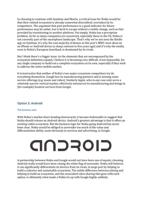In choosing to continue with Symbian and MeeGo, a critical issue for Nokia would be that their related ecosystem is already somewhat discredited, overtaken by its competitors. The argument that past performance is a good indicator for future performance may be unfair, but is hard to escape without a visible change, such as that provided by transitioning to another platform. Put simply, Nokia has a perception problem. As far as many companies are concerned, especially those in the US, Nokia is not currently part of the smartphone landscape. That's why we've not seen the Kindle app on Symbian, it's why the vast majority of demos at this year's MWC were done on an iPhone or Android device (a sharp contrast to five years ago) and it's why the media, even in Nokia's European heartland, is dominated by its rivals.

But I think there's a bigger issue. As the elements that are encompassed by the ecosystem definition expand, I believe it is becoming very difficult, if not impossible, for any single company to build out a complete ecosystem on its own, especially if they wish to address the entire mobile market.

It is instructive that neither of Nokia's two major ecosystem competitors try do everything themselves. Google has its manufacturing partners and is missing some service offerings (e.g. music and video). Similarly Apple, who in any case only serve a relatively narrow vertical market, effectively outsources its manufacturing and brings in (for example) location services from Google.

#### <span id="page-8-0"></span>**Option 2: Android**

#### <span id="page-8-1"></span>*The business case*

With Nokia's market share heading downwards, it became fashionable to suggest that Nokia should release an Android device. Android's greatest advantage is that it offers an existing viable ecosystem. But the business logic for Nokia going Android has never been clear. Nokia would be obliged to surrender too much of the value and differentiation ability, most obviously in services and advertising, to Google.

# CIORCIND

A partnership between Nokia and Google would not have been one of equals; choosing Android really would have been raising the white flag of surrender. Nokia still believes it can significantly differentiate its devices from its rivals, in large part by helping to build a cohesive and sustainable ecosystem. The subtle difference between joining and helping to build an ecosystem, and the associated value sharing that goes with each option, is ultimately what made a Nokia tie up with Google highly unlikely.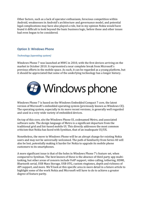Other factors, such as a lack of operator enthusiasm, ferocious competition within Android, weaknesses in Android's architecture and governance model, and potential legal complications may have also played a role, but in my opinion Nokia would have found it difficult to look beyond the basic business logic, before these and other issues had even begun to be considered.

#### <span id="page-9-0"></span>**Option 3: Windows Phone**

#### <span id="page-9-1"></span>*Technology (operating system)*

Windows Phone 7 was launched at MWC in 2010, with the first devices arriving on the market in October 2010. It represented a near complete break from Microsoft's previous efforts in the mobile space. As such, it can be regarded as a young platform, but it should be appreciated that some of the underlying technology has a longer history.



Windows Phone 7 is based on the Windows Embedded Compact 7 core, the latest version of Microsoft's embedded operating system (previously known as Windows CE). The operating system, especially in its more recent versions, is generally well regarded and used in a very wide variety of embedded devices.

On top of this core, sits the Windows Phone UI, codenamed Metro, and associated software suite. The design language of Metro is a significant departure from the traditional grid and list-based mobile UI. This directly addresses the most common criticism that Nokia has faced with Symbian, that of an inadequate UI/UX.

Nonetheless, the move to Windows Phone will be an abrupt change for existing Nokia users and may not be universally welcomed. The path of familiarity from Series 40 will also be lost, potentially making it harder for Nokia to upgrade its mobile phone customers to its smartphones.

A more significant issue is that of the holes in Windows Phone 7's feature set, when compared to Symbian. The best known of these is the absence of third party app multitasking, but other areas of concern include VoIP support, video calling, tethering, HDMI, Bluetooth serial, USB Mass Storage, USB OTG, custom ringtones, depth and richness of API support, and more. We'll look at this specific area in more detail in a future article to highlight some of the work Nokia and Microsoft will have to do to achieve a greater degree of feature parity.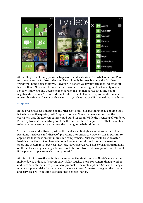

At this stage, it not really possible to provide a full assessment of what Windows Phone technology means for Nokia devices. That will only be possible once the first Nokia Windows Phone devices arrive. However, in general, a key performance indicator for Microsoft and Nokia will be whether a consumer comparing the functionality of a new Nokia Windows Phone device to an older Nokia Symbian device finds any major negative differences. This includes not only definable feature requirements, but also more subjective performance characteristics, such as battery life and software stability.

#### <span id="page-10-0"></span>*Ecosystem*

In the press releases announcing the Microsoft and Nokia partnership, it is telling that, in their respective quotes, both Stephen Elop and Steve Ballmer emphasised the ecosystem that the two companies could build together. While the licensing of Windows Phone by Nokia is the starting point for the partnership, it is quite clear that the ability to build an ecosystem together was the driving force behind the deal.

The hardware and software parts of the deal are at first glance obvious, with Nokia providing hardware and Microsoft providing the software. However, it is important to appreciate that these are not indivisible competencies. Microsoft will draw heavily of Nokia's expertise as it evolves Windows Phone, especially as it seeks to move the operating system into lower cost devices. Moving forward, a close working relationship on the software engineering side, with contributions from both companies, will be vital if the partnership is to reach its full potential.

At this point it is worth reminding ourselves of the significance of Nokia's scale in the mobile device industry. As a company, Nokia touches more consumers than any other and does so with that most personal of products - the mobile phone. Scale is the single most vital prerequisite for a viable ecosystem - it doesn't matter how good the products and services are if you can't get them into peoples' hands.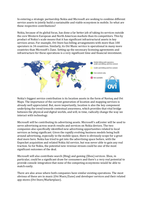In entering a strategic partnership Nokia and Microsoft are seeking to combine different service assets to jointly build a sustainable and viable ecosystem in mobile. So what are these respective contributions?

Nokia, because of its global focus, has done a far better job of taking its services outside the core Western European and North American markets than its competitors. This by product of Nokia's scale means that it has significant infrastructural assets in key services areas. For example, Ovi Store has billing arrangements with more than 100 operators in 34 countries. Similarly, its Ovi Music service is operational in many more countries than Microsoft's Zune. Setting up the necessary licensing agreements and infrastructure for these operations is a very significant time and financial investment.



Nokia's biggest service contribution is its location assets in the form of Navteq and Ovi Maps. The importance of the current generation of location and mapping services is already well appreciated. But, more importantly, location is also the key component underlying the trend towards contextual awareness, which provides that vital bridge between the physical and digital worlds, and will, in time, radically change the way we interact with technology.

Microsoft will be contributing its advertising assets. Microsoft's adCenter will be used to serve advertising across search results and services on Nokia devices. The two companies also specifically identified new advertising opportunities related to local services as being significant. Given the rapidly evolving business models being built around advertising, especially in the mobile space, there is obviously scope for a great deal more here. Nokia has tried to get into the advertising space before, with the Enpocket acquisition and related Nokia Ad service, but was never able to gain any real traction. So for Nokia, the potential new revenue stream could be one of the most significant outcomes of the deal.

Microsoft will also contribute search (Bing) and gaming (Xbox) services. Xbox, in particular, could be a significant draw for consumers and there's a very real potential to provide console integration that none of the competing ecosystems would be able to match easily.

There are also areas where both companies have similar existing operations. The most obvious of these are in music (Ovi Music/Zune) and developer services and their related app stores (Ovi Store/Marketplace).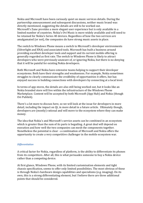Nokia and Microsoft have been curiously quiet on music services details. During the partnership announcement and subsequent discussions, neither music brand was directly mentioned, suggesting the details are still to be worked out. Microsoft's Zune provides a more elegant user experience but is only available in a limited number of countries. Nokia's Ovi Music is more widely available and will need to be retained for Nokia's Series 40 devices. Regardless of how the two services are amalgamated (or not), the companies do have strong music assets in place.

The switch to Windows Phone means a switch to Microsoft's developer environments (Silverlight and XNA) and associated tools. Microsoft has built a business around providing excellent developer tools and support and its current mobile offering is generally regarded as first rate. The switch to Windows Phone is likely to attract developers who were previously unaware of, or ignoring Nokia, but there is no denying that it will be painful for existing Nokia developers.

Both Microsoft and Nokia have extensive teams helping to support their developer ecosystems. Both have their strengths and weaknesses. For example, Nokia sometimes struggles to clearly communicate the credibility of opportunities it offers, but has enjoyed success in building connections with developers by connecting at a local level.

In terms of app stores, the details are also still being worked out, but it looks like an Nokia branded store will live within the infrastructure of the Windows Phone Marketplace. Content will be accepted by both Microsoft (App Hub) and Nokia (though Ovi Publish).

There's a lot more to discuss here, so we will look at the issue for developers in more detail, including the impact on Qt, in more detail in a future article. Ultimately though, developers are (mostly) rational and will move to the ecosystem where they can make money.

The idea that Nokia's and Microsoft's service assets can be combined in an ecosystem which is greater than the sum of its parts is beguiling. A great deal will depend on execution and how well the two companies can mesh the components together. Nonetheless the potential is clear - a combination of Microsoft and Nokia offers the opportunity to create a very competitive challenger in the mobile ecosystem war.

#### <span id="page-12-0"></span>*Differentiation*

A critical factor for Nokia, regardless of platform, is the ability to differentiate its phones from its competitors. After all, this is what persuades someone to buy a Nokia device rather than a competing device.

At first glance, Windows Phone, with its limited customisation elements and tight chassis specification, seems to offer only limited possibilities. The most obvious of these is through Nokia's hardware design capabilities and specialisms (e.g. imaging). On its own, this is a strong differentiating element, but I believe there are three additional points that should be considered.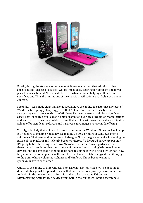

Firstly, during the strategy announcement, it was made clear that additional chassis specifications (classes of devices) will be introduced, catering for different and lower priced devices. Indeed, Nokia is likely to be instrumental in helping author these specifications. Thus the limitations of the chassis specifications are likely not a major concern.

Secondly, it was made clear that Nokia would have the ability to customise any part of Windows. Intriguingly, Elop suggested that Nokia would not necessarily do so, recognising consistency within the Windows Phone ecosystem could be a significant asset. That, of course, still leaves plenty of room for a variety of Nokia-only applications and services. It seems reasonable to think that a Nokia Windows Phone device might be able to offer significant software and hardware advantages over a vanilla offering.

Thirdly, it is likely that Nokia will come to dominate the Windows Phone device line up. It's not hard to imagine Nokia devices making up 80% or more of Windows Phone shipments. That level of dominance will also give Nokia the greatest voice in shaping the future of the platform and it clearly becomes Microsoft's favoured hardware partner. It's going to be interesting to see how Microsoft's other hardware partners react there's a real possibility that one or more of them will stop making Windows Phone devices, on the basis that it is going to be hard to compete with a Nokia which has (now) fully committed to the platform. It is not too much of a stretch to suggest that it may get to the point where Nokia smartphones and Windows Phone become almost synonymous with each other.

Critical to the ability to differentiate, is to ask what devices Nokia will be needing to differentiate against. Elop made it clear that his number one priority is to compete with Android. So the answer here is Android and, to a lesser extent, iOS devices. Differentiating against these devices from within the Windows Phone ecosystem is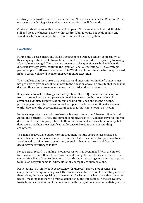relatively easy. In other words, the competition Nokia faces outside the Windows Phone ecosystem is a far bigger issue than any competition it will face within it.

Contrast this situation with what would happen if Nokia went with Android. It might still end up as the biggest player within Android, but it would not be dominant and would face ferocious competition from within its chosen ecosystem.

#### <span id="page-14-0"></span>**Conclusion**

For me, the discussion around Nokia's smartphone strategy decision comes down to this simple question: Could Nokia be successful in the smart devices space by following a 'go it alone' strategy? There are two answers to this question, each of which leads to a different strategy. If yes, continue the Symbian-MeeGo-Qt strategy. If no, a strategic partnership with Microsoft and a switch to Windows Phone offers the best way forward. In both cases, Nokia will need to improve upon its execution.

The trouble is that there are so many factors and uncertainties involved that it is just not possible to give an absolute answer to the question above. To an extent, it means the decision then comes down to assessing relative risk and potential return.

It is possible to make a strong case that Symbian-MeeGo-Qt remains a viable option from a pure technology perspective; indeed, it may even be the most technically advanced. Symbian's sophistication remains undiminished and MeeGo's scope, philosophy and architecture seems well equipped to address a multi device segment world. However, the ecosystem factor means that this is not enough on its own.

In the smartphone space, who are Nokia's biggest competitors? Answer - Google and Apple, and perhaps RIM too. The current competiveness of iOS, Blackberry and Android devices is of course, in part, related to their hardware and software functionality, but it does seem that their most significant difference to Nokia is their surrounding ecosystems.

This lends heavyweight support to the argument that the smart devices space has indeed become a battle of ecosystems. It means that to be competitive you have to have a viable and sustainable ecosystem and, as such, it becomes the critical factor in deciding what strategy to follow.

Nokia's track record in building its own ecosystem has been mixed. With the limited time available, it is difficult to see how it could change this on the scale required to be competitive. Part of the problem here is that the ever increasing competencies required to build an ecosystem make it difficult for any company to succeed alone.

Participating in a jointly built ecosystem with Microsoft makes a lot of sense. The companies are complimentary; with the obvious exception of mobile operating systems themselves, there is surprisingly little overlap. Each company has assets that the other needs - meaning that there's a mutual dependency and joint equity in the ecosystem. Nokia becomes the dominant manufacturer in the ecosystem almost immediately and is